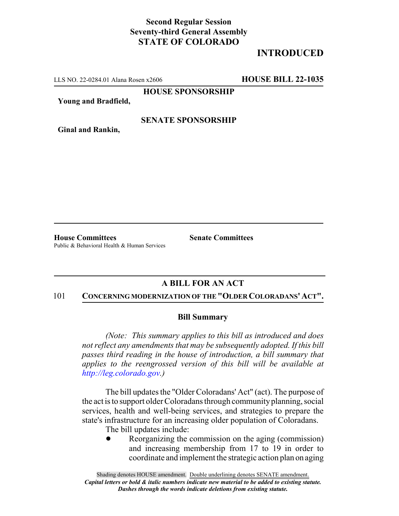## **Second Regular Session Seventy-third General Assembly STATE OF COLORADO**

# **INTRODUCED**

LLS NO. 22-0284.01 Alana Rosen x2606 **HOUSE BILL 22-1035**

**HOUSE SPONSORSHIP**

**Young and Bradfield,**

### **SENATE SPONSORSHIP**

**Ginal and Rankin,**

**House Committees Senate Committees** Public & Behavioral Health & Human Services

### **A BILL FOR AN ACT**

#### 101 **CONCERNING MODERNIZATION OF THE "OLDER COLORADANS' ACT".**

#### **Bill Summary**

*(Note: This summary applies to this bill as introduced and does not reflect any amendments that may be subsequently adopted. If this bill passes third reading in the house of introduction, a bill summary that applies to the reengrossed version of this bill will be available at http://leg.colorado.gov.)*

The bill updates the "Older Coloradans' Act" (act). The purpose of the act is to support older Coloradans through community planning, social services, health and well-being services, and strategies to prepare the state's infrastructure for an increasing older population of Coloradans.

The bill updates include:

Reorganizing the commission on the aging (commission) and increasing membership from 17 to 19 in order to coordinate and implement the strategic action plan on aging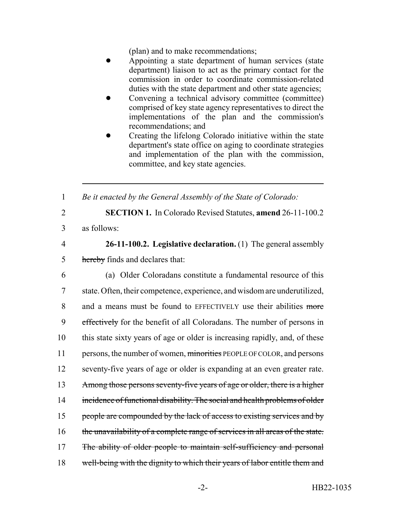(plan) and to make recommendations;

- Appointing a state department of human services (state department) liaison to act as the primary contact for the commission in order to coordinate commission-related duties with the state department and other state agencies;
- Convening a technical advisory committee (committee) comprised of key state agency representatives to direct the implementations of the plan and the commission's recommendations; and
- Creating the lifelong Colorado initiative within the state department's state office on aging to coordinate strategies and implementation of the plan with the commission, committee, and key state agencies.

1 *Be it enacted by the General Assembly of the State of Colorado:*

2 **SECTION 1.** In Colorado Revised Statutes, **amend** 26-11-100.2

3 as follows:

4 **26-11-100.2. Legislative declaration.** (1) The general assembly 5 hereby finds and declares that:

6 (a) Older Coloradans constitute a fundamental resource of this 7 state. Often, their competence, experience, and wisdom are underutilized, 8 and a means must be found to EFFECTIVELY use their abilities more 9 effectively for the benefit of all Coloradans. The number of persons in 10 this state sixty years of age or older is increasing rapidly, and, of these 11 persons, the number of women, minorities PEOPLE OF COLOR, and persons 12 seventy-five years of age or older is expanding at an even greater rate. 13 Among those persons seventy-five years of age or older, there is a higher 14 incidence of functional disability. The social and health problems of older 15 people are compounded by the lack of access to existing services and by 16 the unavailability of a complete range of services in all areas of the state. 17 The ability of older people to maintain self-sufficiency and personal 18 well-being with the dignity to which their years of labor entitle them and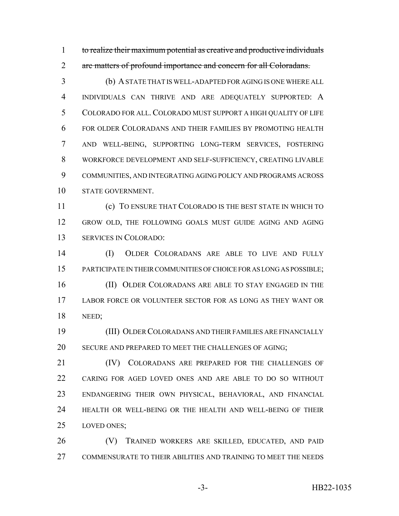to realize their maximum potential as creative and productive individuals 2 are matters of profound importance and concern for all Coloradans.

 (b) A STATE THAT IS WELL-ADAPTED FOR AGING IS ONE WHERE ALL INDIVIDUALS CAN THRIVE AND ARE ADEQUATELY SUPPORTED: A COLORADO FOR ALL. COLORADO MUST SUPPORT A HIGH QUALITY OF LIFE FOR OLDER COLORADANS AND THEIR FAMILIES BY PROMOTING HEALTH AND WELL-BEING, SUPPORTING LONG-TERM SERVICES, FOSTERING WORKFORCE DEVELOPMENT AND SELF-SUFFICIENCY, CREATING LIVABLE COMMUNITIES, AND INTEGRATING AGING POLICY AND PROGRAMS ACROSS STATE GOVERNMENT.

 (c) TO ENSURE THAT COLORADO IS THE BEST STATE IN WHICH TO GROW OLD, THE FOLLOWING GOALS MUST GUIDE AGING AND AGING SERVICES IN COLORADO:

 (I) OLDER COLORADANS ARE ABLE TO LIVE AND FULLY PARTICIPATE IN THEIR COMMUNITIES OF CHOICE FOR AS LONG AS POSSIBLE; 16 (II) OLDER COLORADANS ARE ABLE TO STAY ENGAGED IN THE LABOR FORCE OR VOLUNTEER SECTOR FOR AS LONG AS THEY WANT OR NEED;

 (III) OLDER COLORADANS AND THEIR FAMILIES ARE FINANCIALLY SECURE AND PREPARED TO MEET THE CHALLENGES OF AGING;

21 (IV) COLORADANS ARE PREPARED FOR THE CHALLENGES OF CARING FOR AGED LOVED ONES AND ARE ABLE TO DO SO WITHOUT ENDANGERING THEIR OWN PHYSICAL, BEHAVIORAL, AND FINANCIAL HEALTH OR WELL-BEING OR THE HEALTH AND WELL-BEING OF THEIR LOVED ONES;

 (V) TRAINED WORKERS ARE SKILLED, EDUCATED, AND PAID COMMENSURATE TO THEIR ABILITIES AND TRAINING TO MEET THE NEEDS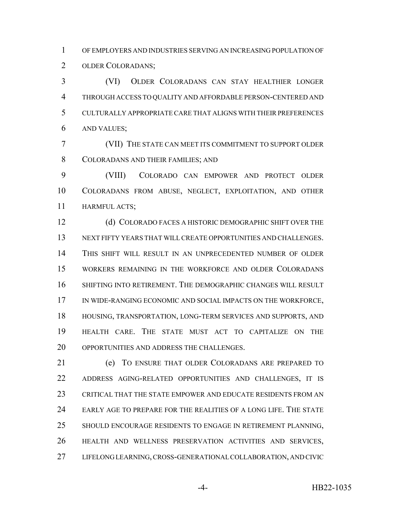OF EMPLOYERS AND INDUSTRIES SERVING AN INCREASING POPULATION OF OLDER COLORADANS;

 (VI) OLDER COLORADANS CAN STAY HEALTHIER LONGER THROUGH ACCESS TO QUALITY AND AFFORDABLE PERSON-CENTERED AND CULTURALLY APPROPRIATE CARE THAT ALIGNS WITH THEIR PREFERENCES AND VALUES;

 (VII) THE STATE CAN MEET ITS COMMITMENT TO SUPPORT OLDER COLORADANS AND THEIR FAMILIES; AND

 (VIII) COLORADO CAN EMPOWER AND PROTECT OLDER COLORADANS FROM ABUSE, NEGLECT, EXPLOITATION, AND OTHER HARMFUL ACTS;

 (d) COLORADO FACES A HISTORIC DEMOGRAPHIC SHIFT OVER THE NEXT FIFTY YEARS THAT WILL CREATE OPPORTUNITIES AND CHALLENGES. THIS SHIFT WILL RESULT IN AN UNPRECEDENTED NUMBER OF OLDER WORKERS REMAINING IN THE WORKFORCE AND OLDER COLORADANS SHIFTING INTO RETIREMENT. THE DEMOGRAPHIC CHANGES WILL RESULT IN WIDE-RANGING ECONOMIC AND SOCIAL IMPACTS ON THE WORKFORCE, HOUSING, TRANSPORTATION, LONG-TERM SERVICES AND SUPPORTS, AND HEALTH CARE. THE STATE MUST ACT TO CAPITALIZE ON THE OPPORTUNITIES AND ADDRESS THE CHALLENGES.

 (e) TO ENSURE THAT OLDER COLORADANS ARE PREPARED TO ADDRESS AGING-RELATED OPPORTUNITIES AND CHALLENGES, IT IS CRITICAL THAT THE STATE EMPOWER AND EDUCATE RESIDENTS FROM AN EARLY AGE TO PREPARE FOR THE REALITIES OF A LONG LIFE. THE STATE 25 SHOULD ENCOURAGE RESIDENTS TO ENGAGE IN RETIREMENT PLANNING, HEALTH AND WELLNESS PRESERVATION ACTIVITIES AND SERVICES, LIFELONG LEARNING, CROSS-GENERATIONAL COLLABORATION, AND CIVIC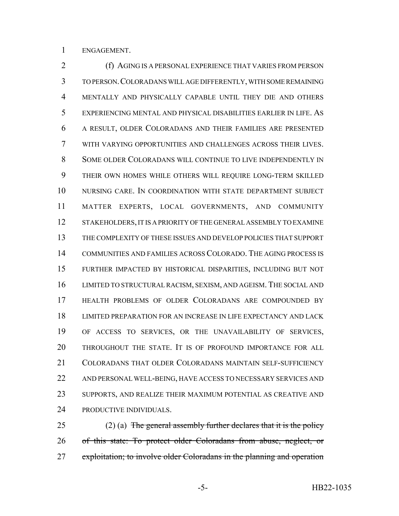ENGAGEMENT.

 (f) AGING IS A PERSONAL EXPERIENCE THAT VARIES FROM PERSON TO PERSON.COLORADANS WILL AGE DIFFERENTLY, WITH SOME REMAINING MENTALLY AND PHYSICALLY CAPABLE UNTIL THEY DIE AND OTHERS EXPERIENCING MENTAL AND PHYSICAL DISABILITIES EARLIER IN LIFE. AS A RESULT, OLDER COLORADANS AND THEIR FAMILIES ARE PRESENTED WITH VARYING OPPORTUNITIES AND CHALLENGES ACROSS THEIR LIVES. SOME OLDER COLORADANS WILL CONTINUE TO LIVE INDEPENDENTLY IN THEIR OWN HOMES WHILE OTHERS WILL REQUIRE LONG-TERM SKILLED NURSING CARE. IN COORDINATION WITH STATE DEPARTMENT SUBJECT MATTER EXPERTS, LOCAL GOVERNMENTS, AND COMMUNITY 12 STAKEHOLDERS, IT IS A PRIORITY OF THE GENERAL ASSEMBLY TO EXAMINE THE COMPLEXITY OF THESE ISSUES AND DEVELOP POLICIES THAT SUPPORT COMMUNITIES AND FAMILIES ACROSS COLORADO. THE AGING PROCESS IS FURTHER IMPACTED BY HISTORICAL DISPARITIES, INCLUDING BUT NOT LIMITED TO STRUCTURAL RACISM, SEXISM, AND AGEISM. THE SOCIAL AND HEALTH PROBLEMS OF OLDER COLORADANS ARE COMPOUNDED BY LIMITED PREPARATION FOR AN INCREASE IN LIFE EXPECTANCY AND LACK OF ACCESS TO SERVICES, OR THE UNAVAILABILITY OF SERVICES, THROUGHOUT THE STATE. IT IS OF PROFOUND IMPORTANCE FOR ALL COLORADANS THAT OLDER COLORADANS MAINTAIN SELF-SUFFICIENCY AND PERSONAL WELL-BEING, HAVE ACCESS TO NECESSARY SERVICES AND SUPPORTS, AND REALIZE THEIR MAXIMUM POTENTIAL AS CREATIVE AND 24 PRODUCTIVE INDIVIDUALS.

25 (2) (a) The general assembly further declares that it is the policy of this state: To protect older Coloradans from abuse, neglect, or 27 exploitation; to involve older Coloradans in the planning and operation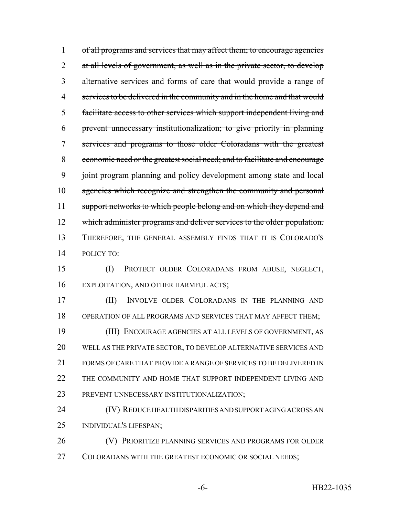of all programs and services that may affect them; to encourage agencies 2 at all levels of government, as well as in the private sector, to develop alternative services and forms of care that would provide a range of 4 services to be delivered in the community and in the home and that would facilitate access to other services which support independent living and prevent unnecessary institutionalization; to give priority in planning services and programs to those older Coloradans with the greatest economic need or the greatest social need; and to facilitate and encourage joint program planning and policy development among state and local 10 agencies which recognize and strengthen the community and personal 11 support networks to which people belong and on which they depend and 12 which administer programs and deliver services to the older population. THEREFORE, THE GENERAL ASSEMBLY FINDS THAT IT IS COLORADO'S POLICY TO:

 (I) PROTECT OLDER COLORADANS FROM ABUSE, NEGLECT, EXPLOITATION, AND OTHER HARMFUL ACTS;

 (II) INVOLVE OLDER COLORADANS IN THE PLANNING AND OPERATION OF ALL PROGRAMS AND SERVICES THAT MAY AFFECT THEM; (III) ENCOURAGE AGENCIES AT ALL LEVELS OF GOVERNMENT, AS WELL AS THE PRIVATE SECTOR, TO DEVELOP ALTERNATIVE SERVICES AND FORMS OF CARE THAT PROVIDE A RANGE OF SERVICES TO BE DELIVERED IN 22 THE COMMUNITY AND HOME THAT SUPPORT INDEPENDENT LIVING AND PREVENT UNNECESSARY INSTITUTIONALIZATION;

 (IV) REDUCE HEALTH DISPARITIES AND SUPPORT AGING ACROSS AN INDIVIDUAL'S LIFESPAN;

 (V) PRIORITIZE PLANNING SERVICES AND PROGRAMS FOR OLDER 27 COLORADANS WITH THE GREATEST ECONOMIC OR SOCIAL NEEDS;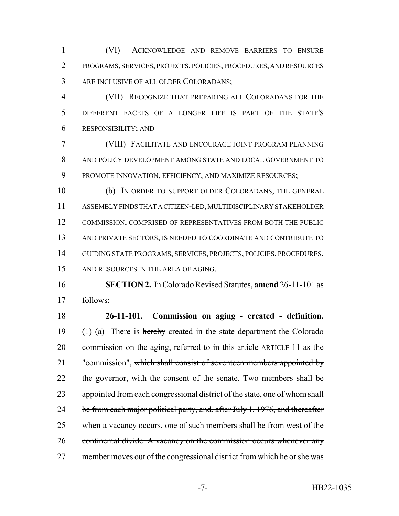(VI) ACKNOWLEDGE AND REMOVE BARRIERS TO ENSURE PROGRAMS, SERVICES, PROJECTS, POLICIES, PROCEDURES, AND RESOURCES ARE INCLUSIVE OF ALL OLDER COLORADANS;

 (VII) RECOGNIZE THAT PREPARING ALL COLORADANS FOR THE DIFFERENT FACETS OF A LONGER LIFE IS PART OF THE STATE'S RESPONSIBILITY; AND

 (VIII) FACILITATE AND ENCOURAGE JOINT PROGRAM PLANNING AND POLICY DEVELOPMENT AMONG STATE AND LOCAL GOVERNMENT TO PROMOTE INNOVATION, EFFICIENCY, AND MAXIMIZE RESOURCES;

 (b) IN ORDER TO SUPPORT OLDER COLORADANS, THE GENERAL ASSEMBLY FINDS THAT A CITIZEN-LED, MULTIDISCIPLINARY STAKEHOLDER 12 COMMISSION, COMPRISED OF REPRESENTATIVES FROM BOTH THE PUBLIC AND PRIVATE SECTORS, IS NEEDED TO COORDINATE AND CONTRIBUTE TO GUIDING STATE PROGRAMS, SERVICES, PROJECTS, POLICIES, PROCEDURES, 15 AND RESOURCES IN THE AREA OF AGING.

 **SECTION 2.** In Colorado Revised Statutes, **amend** 26-11-101 as follows:

 **26-11-101. Commission on aging - created - definition.** 19 (1) (a) There is hereby created in the state department the Colorado 20 commission on the aging, referred to in this article ARTICLE 11 as the 21 "commission", which shall consist of seventeen members appointed by 22 the governor, with the consent of the senate. Two members shall be 23 appointed from each congressional district of the state, one of whom shall 24 be from each major political party, and, after July 1, 1976, and thereafter when a vacancy occurs, one of such members shall be from west of the 26 continental divide. A vacancy on the commission occurs whenever any 27 member moves out of the congressional district from which he or she was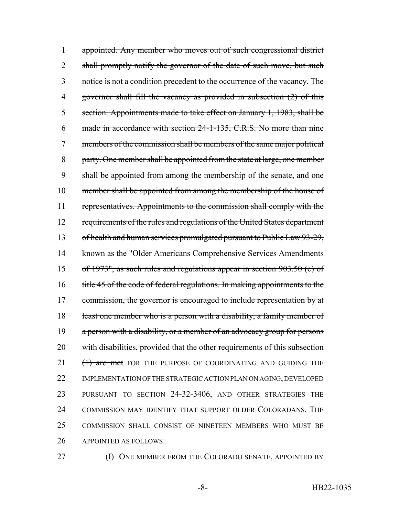appointed. Any member who moves out of such congressional district 2 shall promptly notify the governor of the date of such move, but such notice is not a condition precedent to the occurrence of the vacancy. The governor shall fill the vacancy as provided in subsection (2) of this section. Appointments made to take effect on January 1, 1983, shall be made in accordance with section 24-1-135, C.R.S. No more than nine members of the commission shall be members of the same major political party. One member shall be appointed from the state at large, one member shall be appointed from among the membership of the senate, and one member shall be appointed from among the membership of the house of representatives. Appointments to the commission shall comply with the 12 requirements of the rules and regulations of the United States department 13 of health and human services promulgated pursuant to Public Law 93-29, known as the "Older Americans Comprehensive Services Amendments of 1973", as such rules and regulations appear in section 903.50 (c) of 16 title 45 of the code of federal regulations. In making appointments to the 17 commission, the governor is encouraged to include representation by at 18 least one member who is a person with a disability, a family member of 19 a person with a disability, or a member of an advocacy group for persons with disabilities, provided that the other requirements of this subsection 21 (1) are met FOR THE PURPOSE OF COORDINATING AND GUIDING THE 22 IMPLEMENTATION OF THE STRATEGIC ACTION PLAN ON AGING, DEVELOPED PURSUANT TO SECTION 24-32-3406, AND OTHER STRATEGIES THE COMMISSION MAY IDENTIFY THAT SUPPORT OLDER COLORADANS. THE COMMISSION SHALL CONSIST OF NINETEEN MEMBERS WHO MUST BE APPOINTED AS FOLLOWS:

- 
- **(I) ONE MEMBER FROM THE COLORADO SENATE, APPOINTED BY**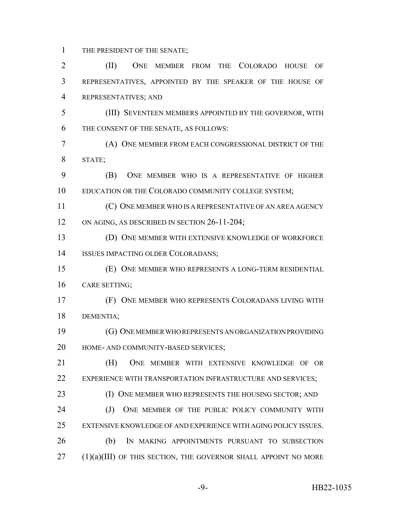THE PRESIDENT OF THE SENATE;

 (II) ONE MEMBER FROM THE COLORADO HOUSE OF REPRESENTATIVES, APPOINTED BY THE SPEAKER OF THE HOUSE OF REPRESENTATIVES; AND (III) SEVENTEEN MEMBERS APPOINTED BY THE GOVERNOR, WITH THE CONSENT OF THE SENATE, AS FOLLOWS: (A) ONE MEMBER FROM EACH CONGRESSIONAL DISTRICT OF THE STATE; (B) ONE MEMBER WHO IS A REPRESENTATIVE OF HIGHER EDUCATION OR THE COLORADO COMMUNITY COLLEGE SYSTEM; (C) ONE MEMBER WHO IS A REPRESENTATIVE OF AN AREA AGENCY 12 ON AGING, AS DESCRIBED IN SECTION 26-11-204; (D) ONE MEMBER WITH EXTENSIVE KNOWLEDGE OF WORKFORCE ISSUES IMPACTING OLDER COLORADANS; (E) ONE MEMBER WHO REPRESENTS A LONG-TERM RESIDENTIAL CARE SETTING; (F) ONE MEMBER WHO REPRESENTS COLORADANS LIVING WITH DEMENTIA; (G) ONE MEMBER WHO REPRESENTS AN ORGANIZATION PROVIDING HOME- AND COMMUNITY-BASED SERVICES; (H) ONE MEMBER WITH EXTENSIVE KNOWLEDGE OF OR 22 EXPERIENCE WITH TRANSPORTATION INFRASTRUCTURE AND SERVICES; 23 (I) ONE MEMBER WHO REPRESENTS THE HOUSING SECTOR; AND 24 (J) ONE MEMBER OF THE PUBLIC POLICY COMMUNITY WITH EXTENSIVE KNOWLEDGE OF AND EXPERIENCE WITH AGING POLICY ISSUES. (b) IN MAKING APPOINTMENTS PURSUANT TO SUBSECTION (1)(a)(III) OF THIS SECTION, THE GOVERNOR SHALL APPOINT NO MORE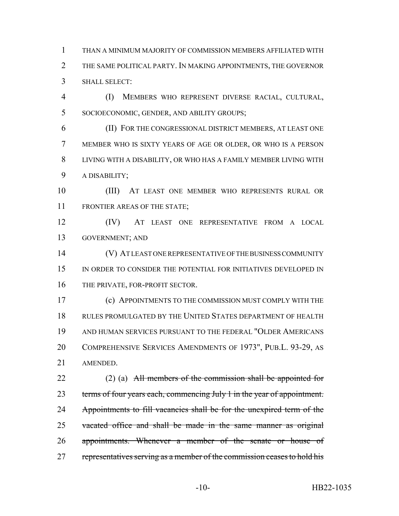THAN A MINIMUM MAJORITY OF COMMISSION MEMBERS AFFILIATED WITH THE SAME POLITICAL PARTY. IN MAKING APPOINTMENTS, THE GOVERNOR SHALL SELECT:

 (I) MEMBERS WHO REPRESENT DIVERSE RACIAL, CULTURAL, SOCIOECONOMIC, GENDER, AND ABILITY GROUPS;

 (II) FOR THE CONGRESSIONAL DISTRICT MEMBERS, AT LEAST ONE MEMBER WHO IS SIXTY YEARS OF AGE OR OLDER, OR WHO IS A PERSON LIVING WITH A DISABILITY, OR WHO HAS A FAMILY MEMBER LIVING WITH A DISABILITY;

 (III) AT LEAST ONE MEMBER WHO REPRESENTS RURAL OR FRONTIER AREAS OF THE STATE;

 (IV) AT LEAST ONE REPRESENTATIVE FROM A LOCAL GOVERNMENT; AND

 (V) AT LEAST ONE REPRESENTATIVE OF THE BUSINESS COMMUNITY 15 IN ORDER TO CONSIDER THE POTENTIAL FOR INITIATIVES DEVELOPED IN 16 THE PRIVATE, FOR-PROFIT SECTOR.

 (c) APPOINTMENTS TO THE COMMISSION MUST COMPLY WITH THE RULES PROMULGATED BY THE UNITED STATES DEPARTMENT OF HEALTH AND HUMAN SERVICES PURSUANT TO THE FEDERAL "OLDER AMERICANS COMPREHENSIVE SERVICES AMENDMENTS OF 1973", PUB.L. 93-29, AS AMENDED.

22 (2) (a) All members of the commission shall be appointed for 23 terms of four years each, commencing July 1 in the year of appointment. 24 Appointments to fill vacancies shall be for the unexpired term of the vacated office and shall be made in the same manner as original 26 appointments. Whenever a member of the senate or house of 27 representatives serving as a member of the commission ceases to hold his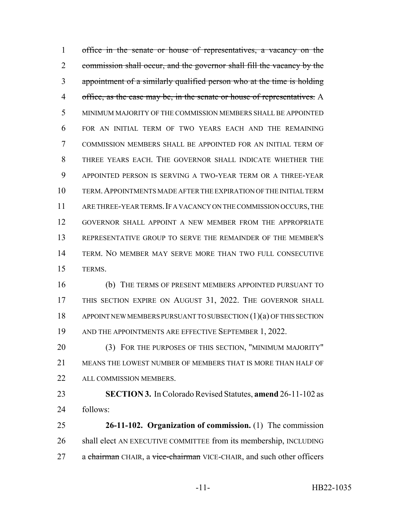office in the senate or house of representatives, a vacancy on the commission shall occur, and the governor shall fill the vacancy by the appointment of a similarly qualified person who at the time is holding 4 office, as the case may be, in the senate or house of representatives. A MINIMUM MAJORITY OF THE COMMISSION MEMBERS SHALL BE APPOINTED FOR AN INITIAL TERM OF TWO YEARS EACH AND THE REMAINING COMMISSION MEMBERS SHALL BE APPOINTED FOR AN INITIAL TERM OF THREE YEARS EACH. THE GOVERNOR SHALL INDICATE WHETHER THE APPOINTED PERSON IS SERVING A TWO-YEAR TERM OR A THREE-YEAR TERM.APPOINTMENTS MADE AFTER THE EXPIRATION OF THE INITIAL TERM 11 ARE THREE-YEAR TERMS. IF A VACANCY ON THE COMMISSION OCCURS, THE GOVERNOR SHALL APPOINT A NEW MEMBER FROM THE APPROPRIATE REPRESENTATIVE GROUP TO SERVE THE REMAINDER OF THE MEMBER'S TERM. NO MEMBER MAY SERVE MORE THAN TWO FULL CONSECUTIVE TERMS.

 (b) THE TERMS OF PRESENT MEMBERS APPOINTED PURSUANT TO 17 THIS SECTION EXPIRE ON AUGUST 31, 2022. THE GOVERNOR SHALL APPOINT NEW MEMBERS PURSUANT TO SUBSECTION (1)(a) OF THIS SECTION 19 AND THE APPOINTMENTS ARE EFFECTIVE SEPTEMBER 1, 2022.

 (3) FOR THE PURPOSES OF THIS SECTION, "MINIMUM MAJORITY" MEANS THE LOWEST NUMBER OF MEMBERS THAT IS MORE THAN HALF OF ALL COMMISSION MEMBERS.

 **SECTION 3.** In Colorado Revised Statutes, **amend** 26-11-102 as follows:

 **26-11-102. Organization of commission.** (1) The commission shall elect AN EXECUTIVE COMMITTEE from its membership, INCLUDING 27 a chairman CHAIR, a vice-chairman VICE-CHAIR, and such other officers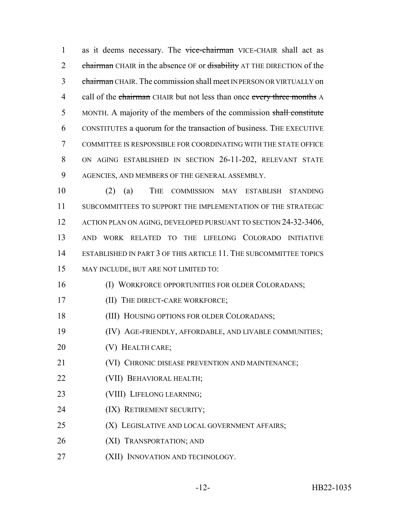1 as it deems necessary. The vice-chairman VICE-CHAIR shall act as 2 chairman CHAIR in the absence OF or disability AT THE DIRECTION of the 3 chairman CHAIR. The commission shall meet IN PERSON OR VIRTUALLY on 4 call of the chairman CHAIR but not less than once every three months A MONTH. A majority of the members of the commission shall constitute CONSTITUTES a quorum for the transaction of business. THE EXECUTIVE COMMITTEE IS RESPONSIBLE FOR COORDINATING WITH THE STATE OFFICE ON AGING ESTABLISHED IN SECTION 26-11-202, RELEVANT STATE AGENCIES, AND MEMBERS OF THE GENERAL ASSEMBLY.

 (2) (a) THE COMMISSION MAY ESTABLISH STANDING SUBCOMMITTEES TO SUPPORT THE IMPLEMENTATION OF THE STRATEGIC 12 ACTION PLAN ON AGING, DEVELOPED PURSUANT TO SECTION 24-32-3406, AND WORK RELATED TO THE LIFELONG COLORADO INITIATIVE ESTABLISHED IN PART 3 OF THIS ARTICLE 11. THE SUBCOMMITTEE TOPICS MAY INCLUDE, BUT ARE NOT LIMITED TO:

- (I) WORKFORCE OPPORTUNITIES FOR OLDER COLORADANS;
- **(II) THE DIRECT-CARE WORKFORCE;**
- (III) HOUSING OPTIONS FOR OLDER COLORADANS;
- (IV) AGE-FRIENDLY, AFFORDABLE, AND LIVABLE COMMUNITIES;
- **(V) HEALTH CARE;**
- **(VI) CHRONIC DISEASE PREVENTION AND MAINTENANCE;**
- (VII) BEHAVIORAL HEALTH;
- (VIII) LIFELONG LEARNING;
- (IX) RETIREMENT SECURITY;
- **(X)** LEGISLATIVE AND LOCAL GOVERNMENT AFFAIRS;
- (XI) TRANSPORTATION; AND
- 27 (XII) INNOVATION AND TECHNOLOGY.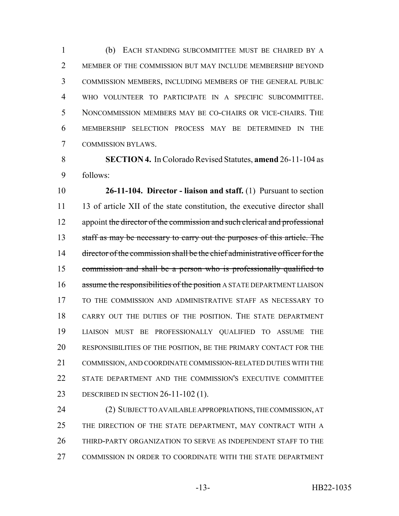(b) EACH STANDING SUBCOMMITTEE MUST BE CHAIRED BY A 2 MEMBER OF THE COMMISSION BUT MAY INCLUDE MEMBERSHIP BEYOND COMMISSION MEMBERS, INCLUDING MEMBERS OF THE GENERAL PUBLIC WHO VOLUNTEER TO PARTICIPATE IN A SPECIFIC SUBCOMMITTEE. NONCOMMISSION MEMBERS MAY BE CO-CHAIRS OR VICE-CHAIRS. THE MEMBERSHIP SELECTION PROCESS MAY BE DETERMINED IN THE COMMISSION BYLAWS.

 **SECTION 4.** In Colorado Revised Statutes, **amend** 26-11-104 as follows:

 **26-11-104. Director - liaison and staff.** (1) Pursuant to section 11 13 of article XII of the state constitution, the executive director shall 12 appoint the director of the commission and such clerical and professional 13 staff as may be necessary to carry out the purposes of this article. The 14 director of the commission shall be the chief administrative officer for the commission and shall be a person who is professionally qualified to 16 assume the responsibilities of the position A STATE DEPARTMENT LIAISON TO THE COMMISSION AND ADMINISTRATIVE STAFF AS NECESSARY TO CARRY OUT THE DUTIES OF THE POSITION. THE STATE DEPARTMENT LIAISON MUST BE PROFESSIONALLY QUALIFIED TO ASSUME THE RESPONSIBILITIES OF THE POSITION, BE THE PRIMARY CONTACT FOR THE COMMISSION, AND COORDINATE COMMISSION-RELATED DUTIES WITH THE STATE DEPARTMENT AND THE COMMISSION'S EXECUTIVE COMMITTEE DESCRIBED IN SECTION 26-11-102 (1).

 (2) SUBJECT TO AVAILABLE APPROPRIATIONS, THE COMMISSION, AT 25 THE DIRECTION OF THE STATE DEPARTMENT, MAY CONTRACT WITH A THIRD-PARTY ORGANIZATION TO SERVE AS INDEPENDENT STAFF TO THE COMMISSION IN ORDER TO COORDINATE WITH THE STATE DEPARTMENT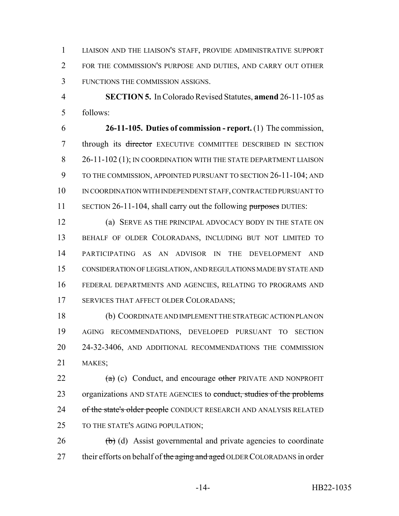LIAISON AND THE LIAISON'S STAFF, PROVIDE ADMINISTRATIVE SUPPORT FOR THE COMMISSION'S PURPOSE AND DUTIES, AND CARRY OUT OTHER FUNCTIONS THE COMMISSION ASSIGNS.

 **SECTION 5.** In Colorado Revised Statutes, **amend** 26-11-105 as follows:

 **26-11-105. Duties of commission - report.** (1) The commission, 7 through its <del>director</del> EXECUTIVE COMMITTEE DESCRIBED IN SECTION 8 26-11-102 (1); IN COORDINATION WITH THE STATE DEPARTMENT LIAISON TO THE COMMISSION, APPOINTED PURSUANT TO SECTION 26-11-104; AND IN COORDINATION WITH INDEPENDENT STAFF, CONTRACTED PURSUANT TO 11 SECTION 26-11-104, shall carry out the following purposes DUTIES:

 (a) SERVE AS THE PRINCIPAL ADVOCACY BODY IN THE STATE ON BEHALF OF OLDER COLORADANS, INCLUDING BUT NOT LIMITED TO PARTICIPATING AS AN ADVISOR IN THE DEVELOPMENT AND CONSIDERATION OF LEGISLATION, AND REGULATIONS MADE BY STATE AND FEDERAL DEPARTMENTS AND AGENCIES, RELATING TO PROGRAMS AND SERVICES THAT AFFECT OLDER COLORADANS;

 (b) COORDINATE AND IMPLEMENT THE STRATEGIC ACTION PLAN ON AGING RECOMMENDATIONS, DEVELOPED PURSUANT TO SECTION 24-32-3406, AND ADDITIONAL RECOMMENDATIONS THE COMMISSION MAKES;

22  $(a)$  (c) Conduct, and encourage other PRIVATE AND NONPROFIT 23 organizations AND STATE AGENCIES to conduct, studies of the problems 24 of the state's older people CONDUCT RESEARCH AND ANALYSIS RELATED 25 TO THE STATE'S AGING POPULATION;

 (b) (d) Assist governmental and private agencies to coordinate 27 their efforts on behalf of the aging and aged OLDER COLORADANS in order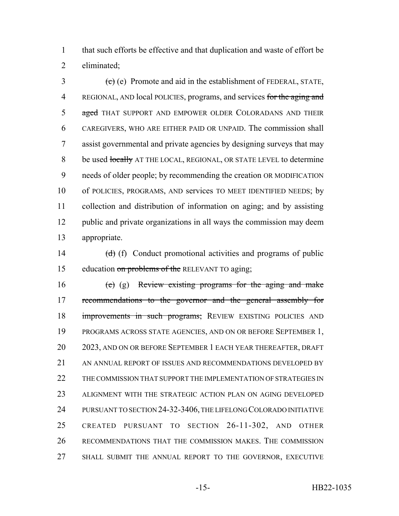1 that such efforts be effective and that duplication and waste of effort be 2 eliminated;

 $\left( \frac{1}{2} \right)$  (e) Promote and aid in the establishment of FEDERAL, STATE, 4 REGIONAL, AND local POLICIES, programs, and services for the aging and 5 aged THAT SUPPORT AND EMPOWER OLDER COLORADANS AND THEIR 6 CAREGIVERS, WHO ARE EITHER PAID OR UNPAID. The commission shall 7 assist governmental and private agencies by designing surveys that may 8 be used locally AT THE LOCAL, REGIONAL, OR STATE LEVEL to determine 9 needs of older people; by recommending the creation OR MODIFICATION 10 of POLICIES, PROGRAMS, AND services TO MEET IDENTIFIED NEEDS; by 11 collection and distribution of information on aging; and by assisting 12 public and private organizations in all ways the commission may deem 13 appropriate.

14  $(d)$  (f) Conduct promotional activities and programs of public 15 education on problems of the RELEVANT TO aging;

 $(e)$  (g) Review existing programs for the aging and make 17 recommendations to the governor and the general assembly for 18 improvements in such programs; REVIEW EXISTING POLICIES AND PROGRAMS ACROSS STATE AGENCIES, AND ON OR BEFORE SEPTEMBER 1, 2023, AND ON OR BEFORE SEPTEMBER 1 EACH YEAR THEREAFTER, DRAFT 21 AN ANNUAL REPORT OF ISSUES AND RECOMMENDATIONS DEVELOPED BY 22 THE COMMISSION THAT SUPPORT THE IMPLEMENTATION OF STRATEGIES IN ALIGNMENT WITH THE STRATEGIC ACTION PLAN ON AGING DEVELOPED PURSUANT TO SECTION 24-32-3406, THE LIFELONG COLORADO INITIATIVE CREATED PURSUANT TO SECTION 26-11-302, AND OTHER RECOMMENDATIONS THAT THE COMMISSION MAKES. THE COMMISSION SHALL SUBMIT THE ANNUAL REPORT TO THE GOVERNOR, EXECUTIVE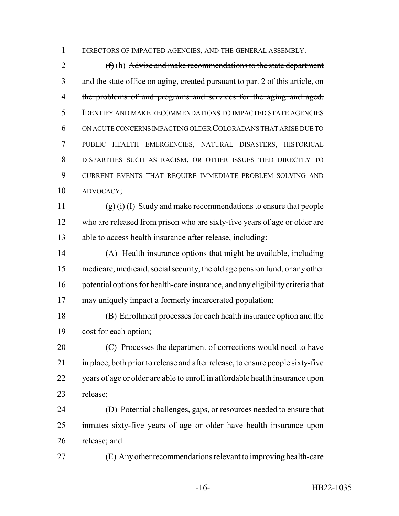DIRECTORS OF IMPACTED AGENCIES, AND THE GENERAL ASSEMBLY.

 (f) (h) Advise and make recommendations to the state department 3 and the state office on aging, created pursuant to part 2 of this article, on 4 the problems of and programs and services for the aging and aged. IDENTIFY AND MAKE RECOMMENDATIONS TO IMPACTED STATE AGENCIES ON ACUTE CONCERNS IMPACTING OLDER COLORADANS THAT ARISE DUE TO PUBLIC HEALTH EMERGENCIES, NATURAL DISASTERS, HISTORICAL DISPARITIES SUCH AS RACISM, OR OTHER ISSUES TIED DIRECTLY TO CURRENT EVENTS THAT REQUIRE IMMEDIATE PROBLEM SOLVING AND ADVOCACY;

11  $(g)(i)$  (I) Study and make recommendations to ensure that people who are released from prison who are sixty-five years of age or older are able to access health insurance after release, including:

 (A) Health insurance options that might be available, including medicare, medicaid, social security, the old age pension fund, or any other potential options for health-care insurance, and any eligibility criteria that may uniquely impact a formerly incarcerated population;

 (B) Enrollment processes for each health insurance option and the cost for each option;

 (C) Processes the department of corrections would need to have in place, both prior to release and after release, to ensure people sixty-five years of age or older are able to enroll in affordable health insurance upon release;

 (D) Potential challenges, gaps, or resources needed to ensure that inmates sixty-five years of age or older have health insurance upon release; and

(E) Any other recommendations relevant to improving health-care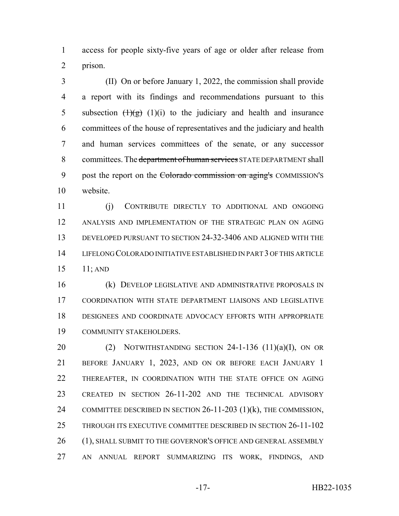access for people sixty-five years of age or older after release from prison.

 (II) On or before January 1, 2022, the commission shall provide a report with its findings and recommendations pursuant to this 5 subsection  $\left(\frac{1}{g}\right)$  (1)(i) to the judiciary and health and insurance committees of the house of representatives and the judiciary and health and human services committees of the senate, or any successor 8 committees. The <del>department of human services</del> STATE DEPARTMENT shall 9 post the report on the Colorado commission on aging's COMMISSION'S website.

 (j) CONTRIBUTE DIRECTLY TO ADDITIONAL AND ONGOING ANALYSIS AND IMPLEMENTATION OF THE STRATEGIC PLAN ON AGING DEVELOPED PURSUANT TO SECTION 24-32-3406 AND ALIGNED WITH THE LIFELONG COLORADO INITIATIVE ESTABLISHED IN PART 3 OF THIS ARTICLE 11; AND

 (k) DEVELOP LEGISLATIVE AND ADMINISTRATIVE PROPOSALS IN COORDINATION WITH STATE DEPARTMENT LIAISONS AND LEGISLATIVE DESIGNEES AND COORDINATE ADVOCACY EFFORTS WITH APPROPRIATE COMMUNITY STAKEHOLDERS.

20 (2) NOTWITHSTANDING SECTION -1-136  $(11)(a)(I)$ , ON OR BEFORE JANUARY 1, 2023, AND ON OR BEFORE EACH JANUARY 1 22 THEREAFTER, IN COORDINATION WITH THE STATE OFFICE ON AGING CREATED IN SECTION 26-11-202 AND THE TECHNICAL ADVISORY COMMITTEE DESCRIBED IN SECTION 26-11-203 (1)(k), THE COMMISSION, THROUGH ITS EXECUTIVE COMMITTEE DESCRIBED IN SECTION 26-11-102 26 (1), SHALL SUBMIT TO THE GOVERNOR'S OFFICE AND GENERAL ASSEMBLY AN ANNUAL REPORT SUMMARIZING ITS WORK, FINDINGS, AND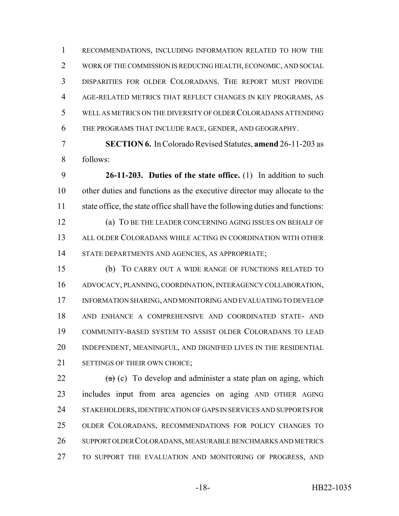RECOMMENDATIONS, INCLUDING INFORMATION RELATED TO HOW THE WORK OF THE COMMISSION IS REDUCING HEALTH, ECONOMIC, AND SOCIAL DISPARITIES FOR OLDER COLORADANS. THE REPORT MUST PROVIDE AGE-RELATED METRICS THAT REFLECT CHANGES IN KEY PROGRAMS, AS WELL AS METRICS ON THE DIVERSITY OF OLDER COLORADANS ATTENDING THE PROGRAMS THAT INCLUDE RACE, GENDER, AND GEOGRAPHY.

 **SECTION 6.** In Colorado Revised Statutes, **amend** 26-11-203 as follows:

 **26-11-203. Duties of the state office.** (1) In addition to such other duties and functions as the executive director may allocate to the state office, the state office shall have the following duties and functions:

 (a) TO BE THE LEADER CONCERNING AGING ISSUES ON BEHALF OF ALL OLDER COLORADANS WHILE ACTING IN COORDINATION WITH OTHER STATE DEPARTMENTS AND AGENCIES, AS APPROPRIATE;

 (b) TO CARRY OUT A WIDE RANGE OF FUNCTIONS RELATED TO ADVOCACY, PLANNING, COORDINATION, INTERAGENCY COLLABORATION, INFORMATION SHARING, AND MONITORING AND EVALUATING TO DEVELOP AND ENHANCE A COMPREHENSIVE AND COORDINATED STATE- AND COMMUNITY-BASED SYSTEM TO ASSIST OLDER COLORADANS TO LEAD INDEPENDENT, MEANINGFUL, AND DIGNIFIED LIVES IN THE RESIDENTIAL 21 SETTINGS OF THEIR OWN CHOICE:

 $\frac{1}{2}$  (c) To develop and administer a state plan on aging, which includes input from area agencies on aging AND OTHER AGING STAKEHOLDERS, IDENTIFICATION OF GAPS IN SERVICES AND SUPPORTS FOR OLDER COLORADANS, RECOMMENDATIONS FOR POLICY CHANGES TO SUPPORT OLDER COLORADANS, MEASURABLE BENCHMARKS AND METRICS 27 TO SUPPORT THE EVALUATION AND MONITORING OF PROGRESS, AND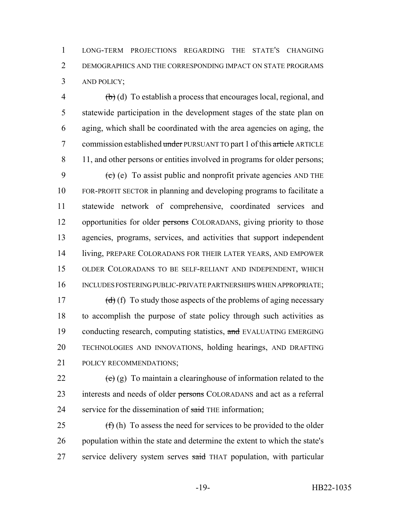1 LONG-TERM PROJECTIONS REGARDING THE STATE'S CHANGING 2 DEMOGRAPHICS AND THE CORRESPONDING IMPACT ON STATE PROGRAMS 3 AND POLICY;

 $\phi$  (b) (d) To establish a process that encourages local, regional, and 5 statewide participation in the development stages of the state plan on 6 aging, which shall be coordinated with the area agencies on aging, the 7 commission established under PURSUANT TO part 1 of this article ARTICLE 8 11, and other persons or entities involved in programs for older persons;

 $\left(e\right)$  (e) To assist public and nonprofit private agencies AND THE FOR-PROFIT SECTOR in planning and developing programs to facilitate a statewide network of comprehensive, coordinated services and 12 opportunities for older persons COLORADANS, giving priority to those agencies, programs, services, and activities that support independent living, PREPARE COLORADANS FOR THEIR LATER YEARS, AND EMPOWER OLDER COLORADANS TO BE SELF-RELIANT AND INDEPENDENT, WHICH 16 INCLUDES FOSTERING PUBLIC-PRIVATE PARTNERSHIPS WHEN APPROPRIATE;

 $(d)$  (f) To study those aspects of the problems of aging necessary to accomplish the purpose of state policy through such activities as 19 conducting research, computing statistics, and EVALUATING EMERGING TECHNOLOGIES AND INNOVATIONS, holding hearings, AND DRAFTING POLICY RECOMMENDATIONS;

22  $\left(\text{e}\right)$  (g) To maintain a clearinghouse of information related to the 23 interests and needs of older persons COLORADANS and act as a referral 24 service for the dissemination of said THE information;

25  $(f)$  (h) To assess the need for services to be provided to the older 26 population within the state and determine the extent to which the state's 27 service delivery system serves said THAT population, with particular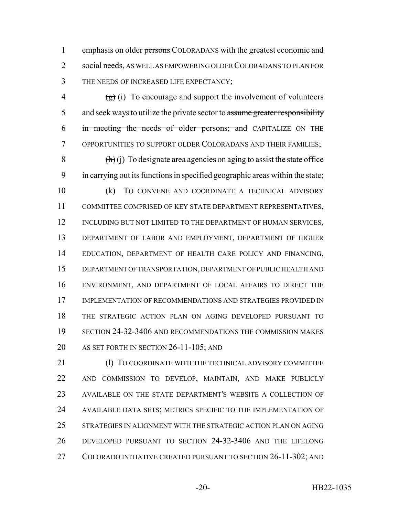1 emphasis on older persons COLORADANS with the greatest economic and social needs, AS WELL AS EMPOWERING OLDER COLORADANS TO PLAN FOR THE NEEDS OF INCREASED LIFE EXPECTANCY;

 $\left(\frac{1}{2}\right)$  (i) To encourage and support the involvement of volunteers 5 and seek ways to utilize the private sector to assume greater responsibility 6 in meeting the needs of older persons; and CAPITALIZE ON THE OPPORTUNITIES TO SUPPORT OLDER COLORADANS AND THEIR FAMILIES;

8  $(h)(i)$  To designate area agencies on aging to assist the state office in carrying out its functions in specified geographic areas within the state;

 (k) TO CONVENE AND COORDINATE A TECHNICAL ADVISORY COMMITTEE COMPRISED OF KEY STATE DEPARTMENT REPRESENTATIVES, 12 INCLUDING BUT NOT LIMITED TO THE DEPARTMENT OF HUMAN SERVICES, DEPARTMENT OF LABOR AND EMPLOYMENT, DEPARTMENT OF HIGHER EDUCATION, DEPARTMENT OF HEALTH CARE POLICY AND FINANCING, DEPARTMENT OF TRANSPORTATION, DEPARTMENT OF PUBLIC HEALTH AND ENVIRONMENT, AND DEPARTMENT OF LOCAL AFFAIRS TO DIRECT THE 17 IMPLEMENTATION OF RECOMMENDATIONS AND STRATEGIES PROVIDED IN THE STRATEGIC ACTION PLAN ON AGING DEVELOPED PURSUANT TO SECTION 24-32-3406 AND RECOMMENDATIONS THE COMMISSION MAKES AS SET FORTH IN SECTION 26-11-105; AND

21 (1) TO COORDINATE WITH THE TECHNICAL ADVISORY COMMITTEE AND COMMISSION TO DEVELOP, MAINTAIN, AND MAKE PUBLICLY AVAILABLE ON THE STATE DEPARTMENT'S WEBSITE A COLLECTION OF AVAILABLE DATA SETS; METRICS SPECIFIC TO THE IMPLEMENTATION OF STRATEGIES IN ALIGNMENT WITH THE STRATEGIC ACTION PLAN ON AGING DEVELOPED PURSUANT TO SECTION 24-32-3406 AND THE LIFELONG COLORADO INITIATIVE CREATED PURSUANT TO SECTION 26-11-302; AND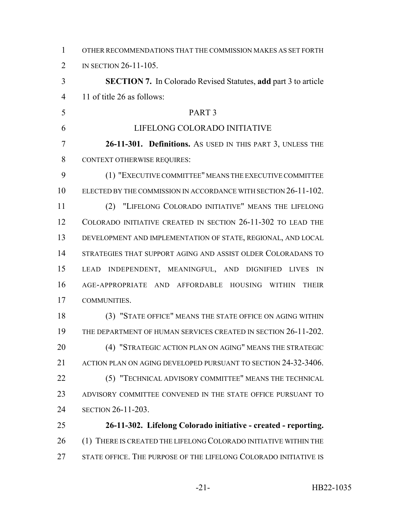| $\mathbf{1}$   | OTHER RECOMMENDATIONS THAT THE COMMISSION MAKES AS SET FORTH          |
|----------------|-----------------------------------------------------------------------|
| 2              | IN SECTION 26-11-105.                                                 |
| 3              | <b>SECTION 7.</b> In Colorado Revised Statutes, add part 3 to article |
| $\overline{4}$ | 11 of title 26 as follows:                                            |
| 5              | PART <sub>3</sub>                                                     |
| 6              | LIFELONG COLORADO INITIATIVE                                          |
| 7              | 26-11-301. Definitions. As USED IN THIS PART 3, UNLESS THE            |
| 8              | <b>CONTEXT OTHERWISE REQUIRES:</b>                                    |
| 9              | (1) "EXECUTIVE COMMITTEE" MEANS THE EXECUTIVE COMMITTEE               |
| 10             | ELECTED BY THE COMMISSION IN ACCORDANCE WITH SECTION 26-11-102.       |
| 11             | (2) "LIFELONG COLORADO INITIATIVE" MEANS THE LIFELONG                 |
| 12             | COLORADO INITIATIVE CREATED IN SECTION 26-11-302 TO LEAD THE          |
| 13             | DEVELOPMENT AND IMPLEMENTATION OF STATE, REGIONAL, AND LOCAL          |
| 14             | STRATEGIES THAT SUPPORT AGING AND ASSIST OLDER COLORADANS TO          |
| 15             | INDEPENDENT, MEANINGFUL, AND DIGNIFIED<br>LEAD<br><b>LIVES</b><br>IN  |
| 16             | AGE-APPROPRIATE AND AFFORDABLE HOUSING WITHIN<br><b>THEIR</b>         |
| 17             | COMMUNITIES.                                                          |
| 18             | (3) "STATE OFFICE" MEANS THE STATE OFFICE ON AGING WITHIN             |
| 19             | THE DEPARTMENT OF HUMAN SERVICES CREATED IN SECTION 26-11-202.        |
| 20             | (4) "STRATEGIC ACTION PLAN ON AGING" MEANS THE STRATEGIC              |
| 21             | ACTION PLAN ON AGING DEVELOPED PURSUANT TO SECTION 24-32-3406.        |
| 22             | (5) "TECHNICAL ADVISORY COMMITTEE" MEANS THE TECHNICAL                |
| 23             | ADVISORY COMMITTEE CONVENED IN THE STATE OFFICE PURSUANT TO           |
| 24             | SECTION 26-11-203.                                                    |
| 25             | 26-11-302. Lifelong Colorado initiative - created - reporting.        |
| 26             | THERE IS CREATED THE LIFELONG COLORADO INITIATIVE WITHIN THE<br>(1)   |
| 27             | STATE OFFICE. THE PURPOSE OF THE LIFELONG COLORADO INITIATIVE IS      |
|                |                                                                       |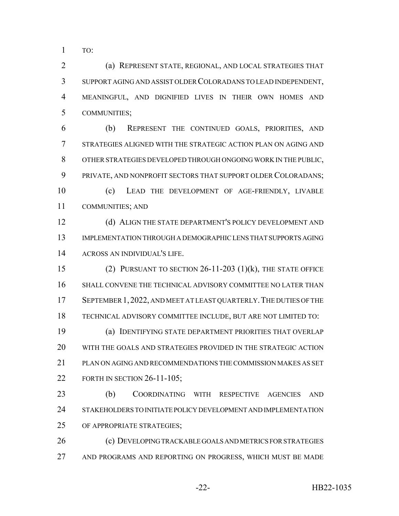TO:

 (a) REPRESENT STATE, REGIONAL, AND LOCAL STRATEGIES THAT SUPPORT AGING AND ASSIST OLDER COLORADANS TO LEAD INDEPENDENT, MEANINGFUL, AND DIGNIFIED LIVES IN THEIR OWN HOMES AND COMMUNITIES;

 (b) REPRESENT THE CONTINUED GOALS, PRIORITIES, AND STRATEGIES ALIGNED WITH THE STRATEGIC ACTION PLAN ON AGING AND OTHER STRATEGIES DEVELOPED THROUGH ONGOING WORK IN THE PUBLIC, PRIVATE, AND NONPROFIT SECTORS THAT SUPPORT OLDER COLORADANS; (c) LEAD THE DEVELOPMENT OF AGE-FRIENDLY, LIVABLE COMMUNITIES; AND

12 (d) ALIGN THE STATE DEPARTMENT'S POLICY DEVELOPMENT AND IMPLEMENTATION THROUGH A DEMOGRAPHIC LENS THAT SUPPORTS AGING ACROSS AN INDIVIDUAL'S LIFE.

 (2) PURSUANT TO SECTION 26-11-203 (1)(k), THE STATE OFFICE SHALL CONVENE THE TECHNICAL ADVISORY COMMITTEE NO LATER THAN SEPTEMBER 1,2022, AND MEET AT LEAST QUARTERLY.THE DUTIES OF THE TECHNICAL ADVISORY COMMITTEE INCLUDE, BUT ARE NOT LIMITED TO: (a) IDENTIFYING STATE DEPARTMENT PRIORITIES THAT OVERLAP

 WITH THE GOALS AND STRATEGIES PROVIDED IN THE STRATEGIC ACTION PLAN ON AGING AND RECOMMENDATIONS THE COMMISSION MAKES AS SET 22 FORTH IN SECTION 26-11-105;

 (b) COORDINATING WITH RESPECTIVE AGENCIES AND STAKEHOLDERS TO INITIATE POLICY DEVELOPMENT AND IMPLEMENTATION OF APPROPRIATE STRATEGIES;

 (c) DEVELOPING TRACKABLE GOALS AND METRICS FOR STRATEGIES 27 AND PROGRAMS AND REPORTING ON PROGRESS, WHICH MUST BE MADE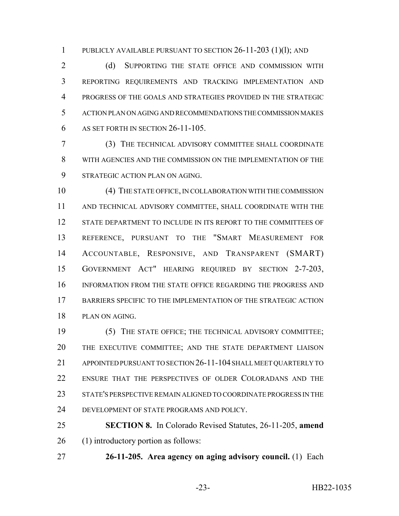PUBLICLY AVAILABLE PURSUANT TO SECTION 26-11-203 (1)(l); AND

2 (d) SUPPORTING THE STATE OFFICE AND COMMISSION WITH REPORTING REQUIREMENTS AND TRACKING IMPLEMENTATION AND PROGRESS OF THE GOALS AND STRATEGIES PROVIDED IN THE STRATEGIC ACTION PLAN ON AGING AND RECOMMENDATIONS THE COMMISSION MAKES AS SET FORTH IN SECTION 26-11-105.

 (3) THE TECHNICAL ADVISORY COMMITTEE SHALL COORDINATE WITH AGENCIES AND THE COMMISSION ON THE IMPLEMENTATION OF THE STRATEGIC ACTION PLAN ON AGING.

 (4) THE STATE OFFICE, IN COLLABORATION WITH THE COMMISSION AND TECHNICAL ADVISORY COMMITTEE, SHALL COORDINATE WITH THE STATE DEPARTMENT TO INCLUDE IN ITS REPORT TO THE COMMITTEES OF REFERENCE, PURSUANT TO THE "SMART MEASUREMENT FOR ACCOUNTABLE, RESPONSIVE, AND TRANSPARENT (SMART) GOVERNMENT ACT" HEARING REQUIRED BY SECTION 2-7-203, INFORMATION FROM THE STATE OFFICE REGARDING THE PROGRESS AND BARRIERS SPECIFIC TO THE IMPLEMENTATION OF THE STRATEGIC ACTION PLAN ON AGING.

 (5) THE STATE OFFICE; THE TECHNICAL ADVISORY COMMITTEE; THE EXECUTIVE COMMITTEE; AND THE STATE DEPARTMENT LIAISON APPOINTED PURSUANT TO SECTION 26-11-104 SHALL MEET QUARTERLY TO ENSURE THAT THE PERSPECTIVES OF OLDER COLORADANS AND THE STATE'S PERSPECTIVE REMAIN ALIGNED TO COORDINATE PROGRESS IN THE DEVELOPMENT OF STATE PROGRAMS AND POLICY.

 **SECTION 8.** In Colorado Revised Statutes, 26-11-205, **amend** (1) introductory portion as follows:

**26-11-205. Area agency on aging advisory council.** (1) Each